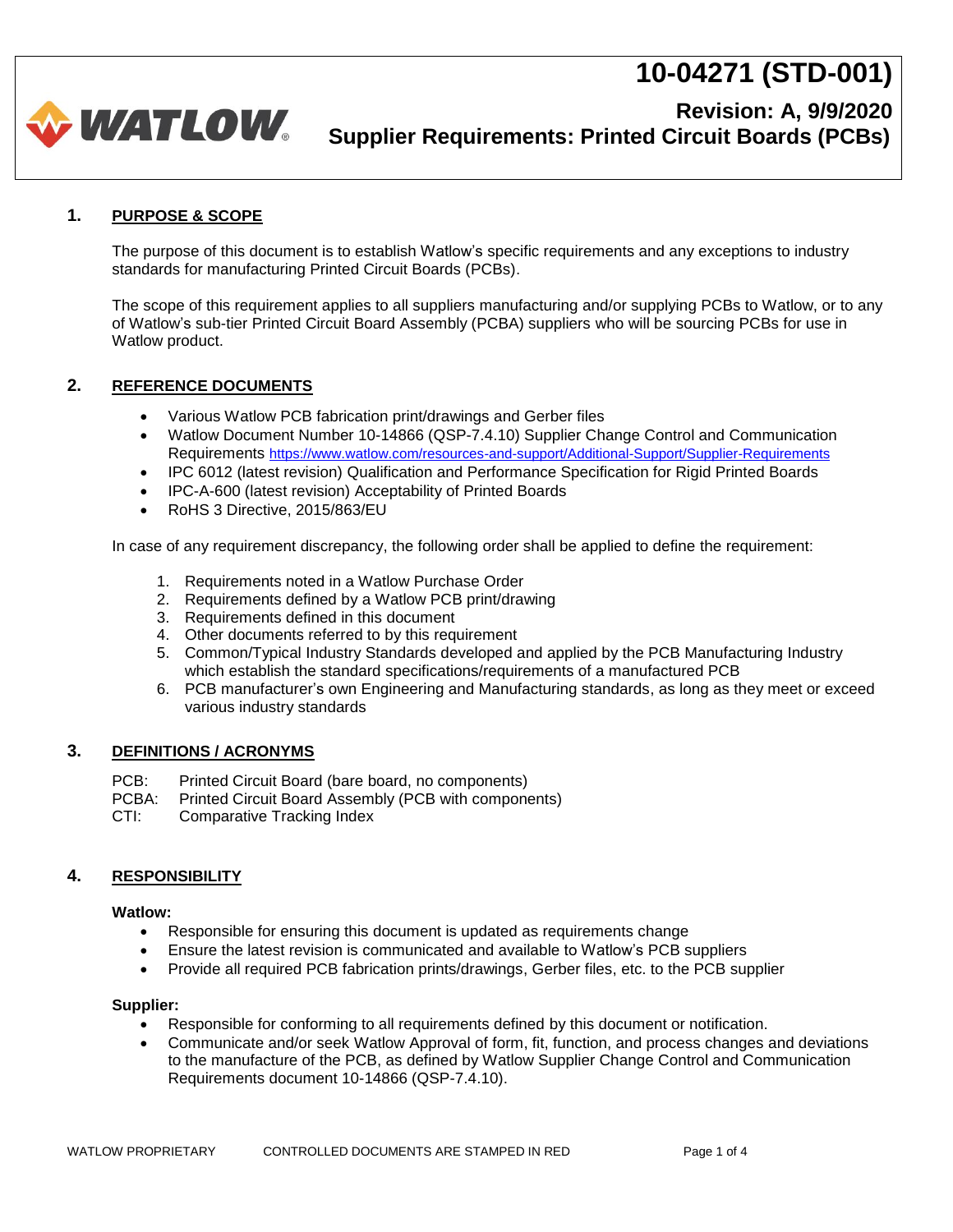

### **Revision: A, 9/9/2020 Supplier Requirements: Printed Circuit Boards (PCBs)**

#### **1. PURPOSE & SCOPE**

The purpose of this document is to establish Watlow's specific requirements and any exceptions to industry standards for manufacturing Printed Circuit Boards (PCBs).

The scope of this requirement applies to all suppliers manufacturing and/or supplying PCBs to Watlow, or to any of Watlow's sub-tier Printed Circuit Board Assembly (PCBA) suppliers who will be sourcing PCBs for use in Watlow product.

#### **2. REFERENCE DOCUMENTS**

- Various Watlow PCB fabrication print/drawings and Gerber files
- Watlow Document Number 10-14866 (QSP-7.4.10) Supplier Change Control and Communication Requirements <https://www.watlow.com/resources-and-support/Additional-Support/Supplier-Requirements>
- IPC 6012 (latest revision) Qualification and Performance Specification for Rigid Printed Boards
- IPC-A-600 (latest revision) Acceptability of Printed Boards
- RoHS 3 Directive, 2015/863/EU

In case of any requirement discrepancy, the following order shall be applied to define the requirement:

- 1. Requirements noted in a Watlow Purchase Order
- 2. Requirements defined by a Watlow PCB print/drawing
- 3. Requirements defined in this document
- 4. Other documents referred to by this requirement
- 5. Common/Typical Industry Standards developed and applied by the PCB Manufacturing Industry which establish the standard specifications/requirements of a manufactured PCB
- 6. PCB manufacturer's own Engineering and Manufacturing standards, as long as they meet or exceed various industry standards

#### **3. DEFINITIONS / ACRONYMS**

- PCB: Printed Circuit Board (bare board, no components)
- PCBA: Printed Circuit Board Assembly (PCB with components)
- CTI: Comparative Tracking Index

#### **4. RESPONSIBILITY**

#### **Watlow:**

- Responsible for ensuring this document is updated as requirements change
- Ensure the latest revision is communicated and available to Watlow's PCB suppliers
- Provide all required PCB fabrication prints/drawings, Gerber files, etc. to the PCB supplier

#### **Supplier:**

- Responsible for conforming to all requirements defined by this document or notification.
- Communicate and/or seek Watlow Approval of form, fit, function, and process changes and deviations to the manufacture of the PCB, as defined by Watlow Supplier Change Control and Communication Requirements document 10-14866 (QSP-7.4.10).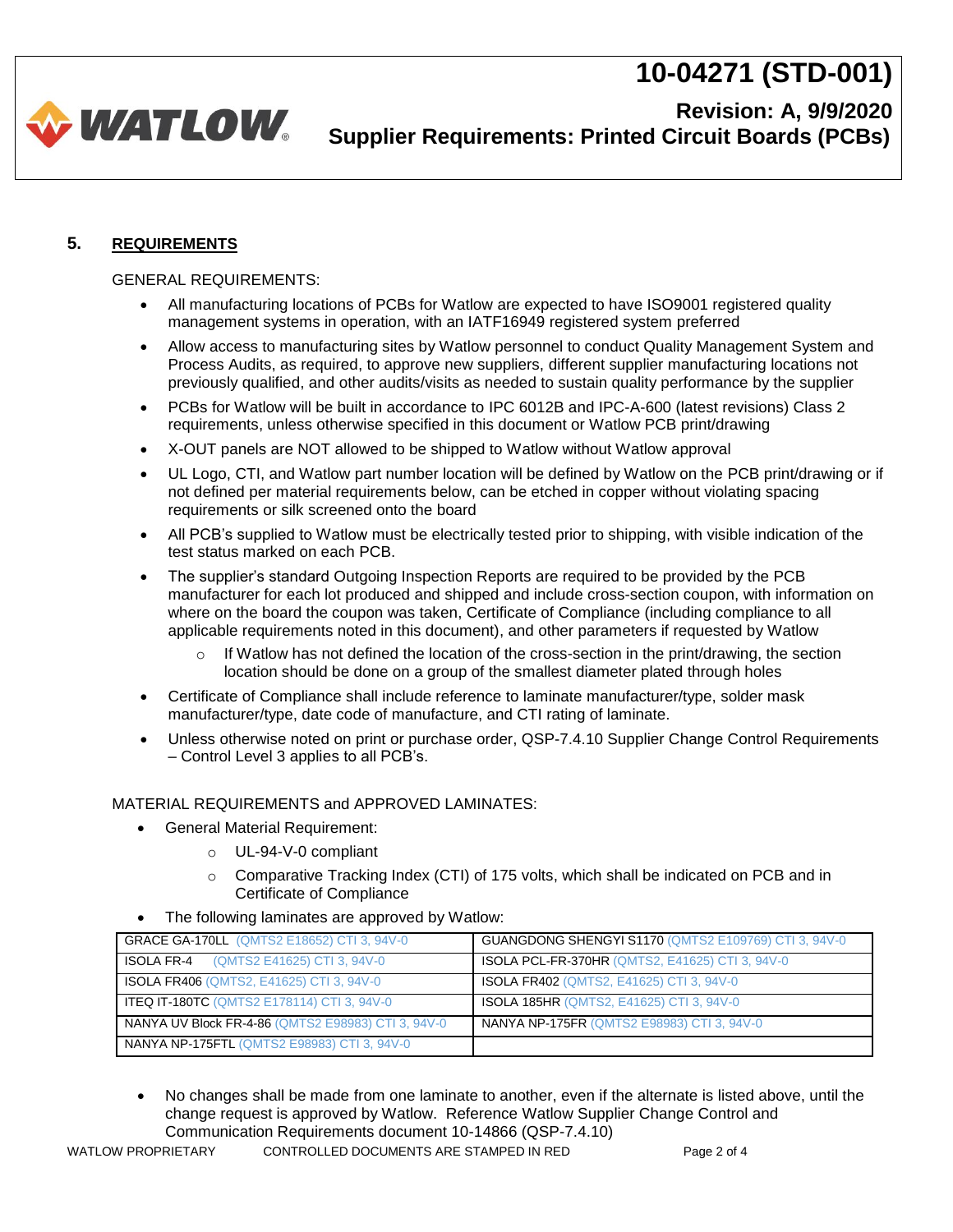

## **Revision: A, 9/9/2020 Supplier Requirements: Printed Circuit Boards (PCBs)**

### **5. REQUIREMENTS**

#### GENERAL REQUIREMENTS:

- All manufacturing locations of PCBs for Watlow are expected to have ISO9001 registered quality management systems in operation, with an IATF16949 registered system preferred
- Allow access to manufacturing sites by Watlow personnel to conduct Quality Management System and Process Audits, as required, to approve new suppliers, different supplier manufacturing locations not previously qualified, and other audits/visits as needed to sustain quality performance by the supplier
- PCBs for Watlow will be built in accordance to IPC 6012B and IPC-A-600 (latest revisions) Class 2 requirements, unless otherwise specified in this document or Watlow PCB print/drawing
- X-OUT panels are NOT allowed to be shipped to Watlow without Watlow approval
- UL Logo, CTI, and Watlow part number location will be defined by Watlow on the PCB print/drawing or if not defined per material requirements below, can be etched in copper without violating spacing requirements or silk screened onto the board
- All PCB's supplied to Watlow must be electrically tested prior to shipping, with visible indication of the test status marked on each PCB.
- The supplier's standard Outgoing Inspection Reports are required to be provided by the PCB manufacturer for each lot produced and shipped and include cross-section coupon, with information on where on the board the coupon was taken, Certificate of Compliance (including compliance to all applicable requirements noted in this document), and other parameters if requested by Watlow
	- $\circ$  If Watlow has not defined the location of the cross-section in the print/drawing, the section location should be done on a group of the smallest diameter plated through holes
- Certificate of Compliance shall include reference to laminate manufacturer/type, solder mask manufacturer/type, date code of manufacture, and CTI rating of laminate.
- Unless otherwise noted on print or purchase order, QSP-7.4.10 Supplier Change Control Requirements – Control Level 3 applies to all PCB's.

#### MATERIAL REQUIREMENTS and APPROVED LAMINATES:

- General Material Requirement:
	- o UL-94-V-0 compliant
	- $\circ$  Comparative Tracking Index (CTI) of 175 volts, which shall be indicated on PCB and in Certificate of Compliance
- The following laminates are approved by Watlow:

| GRACE GA-170LL (QMTS2 E18652) CTI 3, 94V-0         | <b>GUANGDONG SHENGYI S1170 (QMTS2 E109769) CTI 3, 94V-0</b> |
|----------------------------------------------------|-------------------------------------------------------------|
| ISOLA FR-4<br>(QMTS2 E41625) CTI 3, 94V-0          | <b>ISOLA PCL-FR-370HR (QMTS2, E41625) CTI 3, 94V-0</b>      |
| <b>ISOLA FR406 (QMTS2, E41625) CTI 3, 94V-0</b>    | <b>ISOLA FR402 (QMTS2, E41625) CTI 3, 94V-0</b>             |
| <b>ITEQ IT-180TC (QMTS2 E178114) CTI 3, 94V-0</b>  | <b>ISOLA 185HR (QMTS2, E41625) CTI 3, 94V-0</b>             |
| NANYA UV Block FR-4-86 (QMTS2 E98983) CTI 3, 94V-0 | NANYA NP-175FR (QMTS2 E98983) CTI 3, 94V-0                  |
| <b>NANYA NP-175FTL (QMTS2 E98983) CTI 3, 94V-0</b> |                                                             |

• No changes shall be made from one laminate to another, even if the alternate is listed above, until the change request is approved by Watlow. Reference Watlow Supplier Change Control and Communication Requirements document 10-14866 (QSP-7.4.10)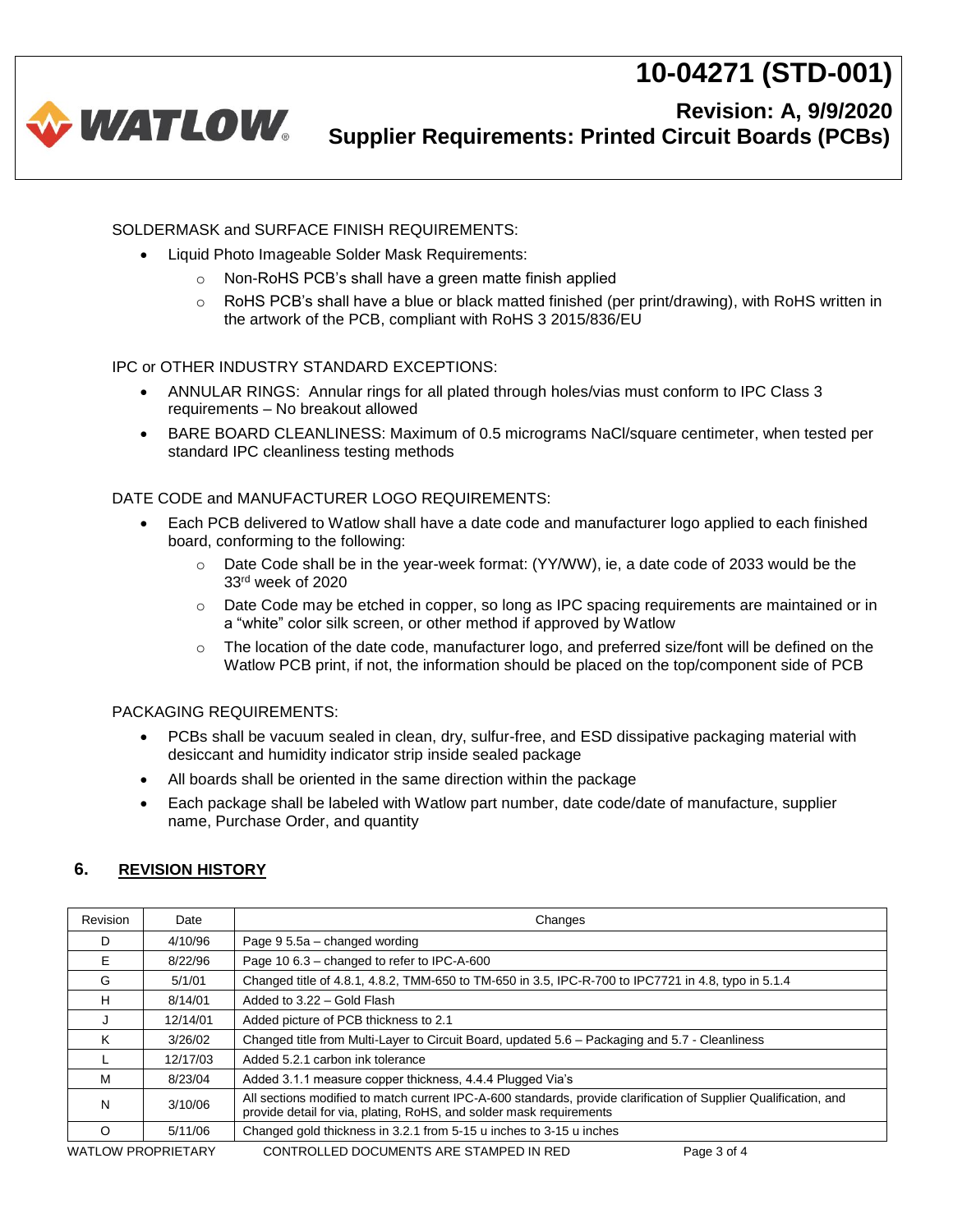

### **Revision: A, 9/9/2020 Supplier Requirements: Printed Circuit Boards (PCBs)**

SOLDERMASK and SURFACE FINISH REQUIREMENTS:

- Liquid Photo Imageable Solder Mask Requirements:
	- o Non-RoHS PCB's shall have a green matte finish applied
	- $\circ$  RoHS PCB's shall have a blue or black matted finished (per print/drawing), with RoHS written in the artwork of the PCB, compliant with RoHS 3 2015/836/EU

#### IPC or OTHER INDUSTRY STANDARD EXCEPTIONS:

- ANNULAR RINGS: Annular rings for all plated through holes/vias must conform to IPC Class 3 requirements – No breakout allowed
- BARE BOARD CLEANLINESS: Maximum of 0.5 micrograms NaCl/square centimeter, when tested per standard IPC cleanliness testing methods

#### DATE CODE and MANUFACTURER LOGO REQUIREMENTS:

- Each PCB delivered to Watlow shall have a date code and manufacturer logo applied to each finished board, conforming to the following:
	- o Date Code shall be in the year-week format: (YY/WW), ie, a date code of 2033 would be the 33rd week of 2020
	- $\circ$  Date Code may be etched in copper, so long as IPC spacing requirements are maintained or in a "white" color silk screen, or other method if approved by Watlow
	- $\circ$  The location of the date code, manufacturer logo, and preferred size/font will be defined on the Watlow PCB print, if not, the information should be placed on the top/component side of PCB

#### PACKAGING REQUIREMENTS:

- PCBs shall be vacuum sealed in clean, dry, sulfur-free, and ESD dissipative packaging material with desiccant and humidity indicator strip inside sealed package
- All boards shall be oriented in the same direction within the package
- Each package shall be labeled with Watlow part number, date code/date of manufacture, supplier name, Purchase Order, and quantity

### **6. REVISION HISTORY**

| Revision                  | Date     | Changes                                                                                                                                                                                 |
|---------------------------|----------|-----------------------------------------------------------------------------------------------------------------------------------------------------------------------------------------|
| D                         | 4/10/96  | Page 9 5.5a - changed wording                                                                                                                                                           |
| Е                         | 8/22/96  | Page 10 6.3 - changed to refer to IPC-A-600                                                                                                                                             |
| G                         | 5/1/01   | Changed title of 4.8.1, 4.8.2, TMM-650 to TM-650 in 3.5, IPC-R-700 to IPC7721 in 4.8, typo in 5.1.4                                                                                     |
| H                         | 8/14/01  | Added to 3.22 - Gold Flash                                                                                                                                                              |
| J                         | 12/14/01 | Added picture of PCB thickness to 2.1                                                                                                                                                   |
| Κ                         | 3/26/02  | Changed title from Multi-Layer to Circuit Board, updated 5.6 – Packaging and 5.7 - Cleanliness                                                                                          |
|                           | 12/17/03 | Added 5.2.1 carbon ink tolerance                                                                                                                                                        |
| м                         | 8/23/04  | Added 3.1.1 measure copper thickness, 4.4.4 Plugged Via's                                                                                                                               |
| N                         | 3/10/06  | All sections modified to match current IPC-A-600 standards, provide clarification of Supplier Qualification, and<br>provide detail for via, plating, RoHS, and solder mask requirements |
| O                         | 5/11/06  | Changed gold thickness in 3.2.1 from 5-15 u inches to 3-15 u inches                                                                                                                     |
| <b>WATLOW PROPRIETARY</b> |          | CONTROLLED DOCUMENTS ARE STAMPED IN RED<br>Page 3 of 4                                                                                                                                  |